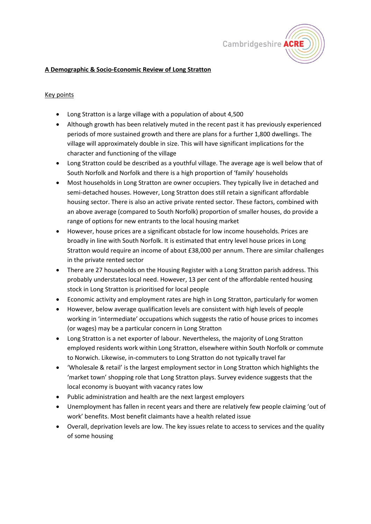

### **A Demographic & Socio-Economic Review of Long Stratton**

#### Key points

- Long Stratton is a large village with a population of about 4,500
- Although growth has been relatively muted in the recent past it has previously experienced periods of more sustained growth and there are plans for a further 1,800 dwellings. The village will approximately double in size. This will have significant implications for the character and functioning of the village
- Long Stratton could be described as a youthful village. The average age is well below that of South Norfolk and Norfolk and there is a high proportion of 'family' households
- Most households in Long Stratton are owner occupiers. They typically live in detached and semi-detached houses. However, Long Stratton does still retain a significant affordable housing sector. There is also an active private rented sector. These factors, combined with an above average (compared to South Norfolk) proportion of smaller houses, do provide a range of options for new entrants to the local housing market
- However, house prices are a significant obstacle for low income households. Prices are broadly in line with South Norfolk. It is estimated that entry level house prices in Long Stratton would require an income of about £38,000 per annum. There are similar challenges in the private rented sector
- There are 27 households on the Housing Register with a Long Stratton parish address. This probably understates local need. However, 13 per cent of the affordable rented housing stock in Long Stratton is prioritised for local people
- Economic activity and employment rates are high in Long Stratton, particularly for women
- However, below average qualification levels are consistent with high levels of people working in 'intermediate' occupations which suggests the ratio of house prices to incomes (or wages) may be a particular concern in Long Stratton
- Long Stratton is a net exporter of labour. Nevertheless, the majority of Long Stratton employed residents work within Long Stratton, elsewhere within South Norfolk or commute to Norwich. Likewise, in-commuters to Long Stratton do not typically travel far
- 'Wholesale & retail' is the largest employment sector in Long Stratton which highlights the 'market town' shopping role that Long Stratton plays. Survey evidence suggests that the local economy is buoyant with vacancy rates low
- Public administration and health are the next largest employers
- Unemployment has fallen in recent years and there are relatively few people claiming 'out of work' benefits. Most benefit claimants have a health related issue
- Overall, deprivation levels are low. The key issues relate to access to services and the quality of some housing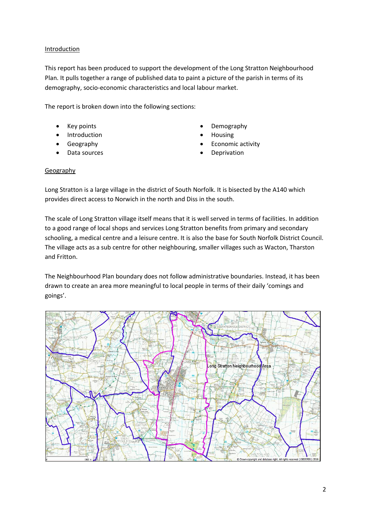### Introduction

This report has been produced to support the development of the Long Stratton Neighbourhood Plan. It pulls together a range of published data to paint a picture of the parish in terms of its demography, socio-economic characteristics and local labour market.

The report is broken down into the following sections:

- 
- Introduction **•** Housing
- 
- 
- Key points Demography
	-
- Geography **•** Economic activity
- **Data sources Deprivation**

#### Geography

Long Stratton is a large village in the district of South Norfolk. It is bisected by the A140 which provides direct access to Norwich in the north and Diss in the south.

The scale of Long Stratton village itself means that it is well served in terms of facilities. In addition to a good range of local shops and services Long Stratton benefits from primary and secondary schooling, a medical centre and a leisure centre. It is also the base for South Norfolk District Council. The village acts as a sub centre for other neighbouring, smaller villages such as Wacton, Tharston and Fritton.

The Neighbourhood Plan boundary does not follow administrative boundaries. Instead, it has been drawn to create an area more meaningful to local people in terms of their daily 'comings and goings'.

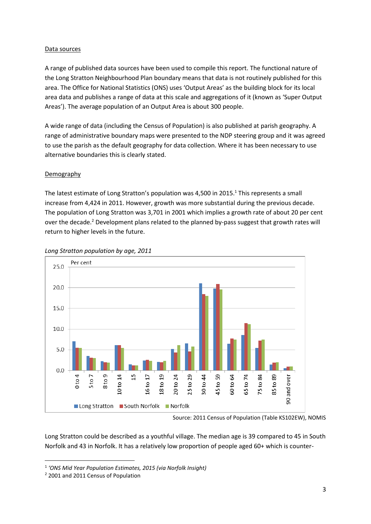### Data sources

A range of published data sources have been used to compile this report. The functional nature of the Long Stratton Neighbourhood Plan boundary means that data is not routinely published for this area. The Office for National Statistics (ONS) uses 'Output Areas' as the building block for its local area data and publishes a range of data at this scale and aggregations of it (known as 'Super Output Areas'). The average population of an Output Area is about 300 people.

A wide range of data (including the Census of Population) is also published at parish geography. A range of administrative boundary maps were presented to the NDP steering group and it was agreed to use the parish as the default geography for data collection. Where it has been necessary to use alternative boundaries this is clearly stated.

## Demography

The latest estimate of Long Stratton's population was 4,500 in 2015.<sup>1</sup> This represents a small increase from 4,424 in 2011. However, growth was more substantial during the previous decade. The population of Long Stratton was 3,701 in 2001 which implies a growth rate of about 20 per cent over the decade.<sup>2</sup> Development plans related to the planned by-pass suggest that growth rates will return to higher levels in the future.



#### *Long Stratton population by age, 2011*

Long Stratton could be described as a youthful village. The median age is 39 compared to 45 in South Norfolk and 43 in Norfolk. It has a relatively low proportion of people aged 60+ which is counter-

Source: 2011 Census of Population (Table KS102EW), NOMIS

<sup>1</sup> *'ONS Mid Year Population Estimates, 2015 (via Norfolk Insight)*

<sup>2</sup> 2001 and 2011 Census of Population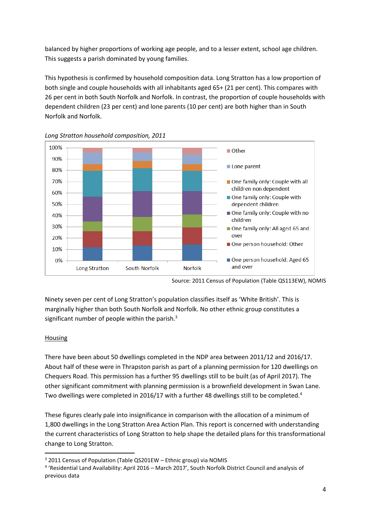balanced by higher proportions of working age people, and to a lesser extent, school age children. This suggests a parish dominated by young families.

This hypothesis is confirmed by household composition data. Long Stratton has a low proportion of both single and couple households with all inhabitants aged 65+ (21 per cent). This compares with 26 per cent in both South Norfolk and Norfolk. In contrast, the proportion of couple households with dependent children (23 per cent) and lone parents (10 per cent) are both higher than in South Norfolk and Norfolk.



*Long Stratton household composition, 2011*

Ninety seven per cent of Long Stratton's population classifies itself as 'White British'. This is marginally higher than both South Norfolk and Norfolk. No other ethnic group constitutes a significant number of people within the parish. $3$ 

# Housing

There have been about 50 dwellings completed in the NDP area between 2011/12 and 2016/17. About half of these were in Thrapston parish as part of a planning permission for 120 dwellings on Chequers Road. This permission has a further 95 dwellings still to be built (as of April 2017). The other significant commitment with planning permission is a brownfield development in Swan Lane. Two dwellings were completed in 2016/17 with a further 48 dwellings still to be completed.<sup>4</sup>

These figures clearly pale into insignificance in comparison with the allocation of a minimum of 1,800 dwellings in the Long Stratton Area Action Plan. This report is concerned with understanding the current characteristics of Long Stratton to help shape the detailed plans for this transformational change to Long Stratton.

Source: 2011 Census of Population (Table QS113EW), NOMIS

<sup>&</sup>lt;sup>3</sup> 2011 Census of Population (Table QS201EW – Ethnic group) via NOMIS

<sup>4</sup> 'Residential Land Availability: April 2016 – March 2017', South Norfolk District Council and analysis of previous data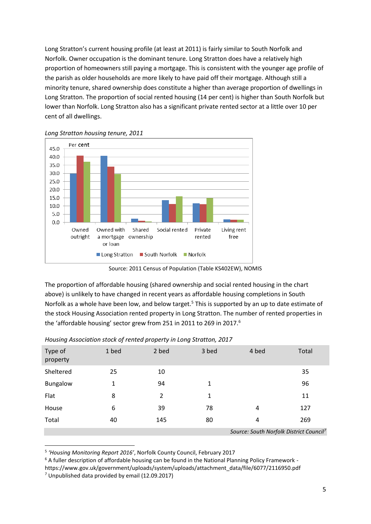Long Stratton's current housing profile (at least at 2011) is fairly similar to South Norfolk and Norfolk. Owner occupation is the dominant tenure. Long Stratton does have a relatively high proportion of homeowners still paying a mortgage. This is consistent with the younger age profile of the parish as older households are more likely to have paid off their mortgage. Although still a minority tenure, shared ownership does constitute a higher than average proportion of dwellings in Long Stratton. The proportion of social rented housing (14 per cent) is higher than South Norfolk but lower than Norfolk. Long Stratton also has a significant private rented sector at a little over 10 per cent of all dwellings.



*Long Stratton housing tenure, 2011*

Source: 2011 Census of Population (Table KS402EW), NOMIS

The proportion of affordable housing (shared ownership and social rented housing in the chart above) is unlikely to have changed in recent years as affordable housing completions in South Norfolk as a whole have been low, and below target.<sup>5</sup> This is supported by an up to date estimate of the stock Housing Association rented property in Long Stratton. The number of rented properties in the 'affordable housing' sector grew from 251 in 2011 to 269 in 2017.<sup>6</sup>

| Type of<br>property | 1 bed                                               | 2 bed | 3 bed | 4 bed | Total |
|---------------------|-----------------------------------------------------|-------|-------|-------|-------|
| Sheltered           | 25                                                  | 10    |       |       | 35    |
| <b>Bungalow</b>     | 1                                                   | 94    | 1     |       | 96    |
| Flat                | 8                                                   | 2     | 1     |       | 11    |
| House               | 6                                                   | 39    | 78    | 4     | 127   |
| Total               | 40                                                  | 145   | 80    | 4     | 269   |
|                     | Source: South Norfolk District Council <sup>7</sup> |       |       |       |       |

*Housing Association stock of rented property in Long Stratton, 2017*

<sup>5</sup> *'Housing Monitoring Report 2016'*, Norfolk County Council, February 2017

<sup>&</sup>lt;sup>6</sup> A fuller description of affordable housing can be found in the National Planning Policy Framework -

https://www.gov.uk/government/uploads/system/uploads/attachment\_data/file/6077/2116950.pdf

<sup>7</sup> Unpublished data provided by email (12.09.2017)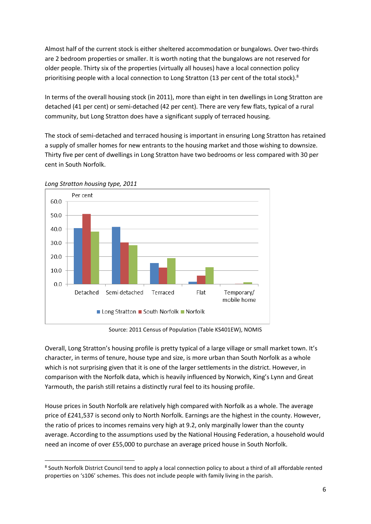Almost half of the current stock is either sheltered accommodation or bungalows. Over two-thirds are 2 bedroom properties or smaller. It is worth noting that the bungalows are not reserved for older people. Thirty six of the properties (virtually all houses) have a local connection policy prioritising people with a local connection to Long Stratton (13 per cent of the total stock).<sup>8</sup>

In terms of the overall housing stock (in 2011), more than eight in ten dwellings in Long Stratton are detached (41 per cent) or semi-detached (42 per cent). There are very few flats, typical of a rural community, but Long Stratton does have a significant supply of terraced housing.

The stock of semi-detached and terraced housing is important in ensuring Long Stratton has retained a supply of smaller homes for new entrants to the housing market and those wishing to downsize. Thirty five per cent of dwellings in Long Stratton have two bedrooms or less compared with 30 per cent in South Norfolk.



*Long Stratton housing type, 2011*

Source: 2011 Census of Population (Table KS401EW), NOMIS

Overall, Long Stratton's housing profile is pretty typical of a large village or small market town. It's character, in terms of tenure, house type and size, is more urban than South Norfolk as a whole which is not surprising given that it is one of the larger settlements in the district. However, in comparison with the Norfolk data, which is heavily influenced by Norwich, King's Lynn and Great Yarmouth, the parish still retains a distinctly rural feel to its housing profile.

House prices in South Norfolk are relatively high compared with Norfolk as a whole. The average price of £241,537 is second only to North Norfolk. Earnings are the highest in the county. However, the ratio of prices to incomes remains very high at 9.2, only marginally lower than the county average. According to the assumptions used by the National Housing Federation, a household would need an income of over £55,000 to purchase an average priced house in South Norfolk.

<sup>&</sup>lt;sup>8</sup> South Norfolk District Council tend to apply a local connection policy to about a third of all affordable rented properties on 's106' schemes. This does not include people with family living in the parish.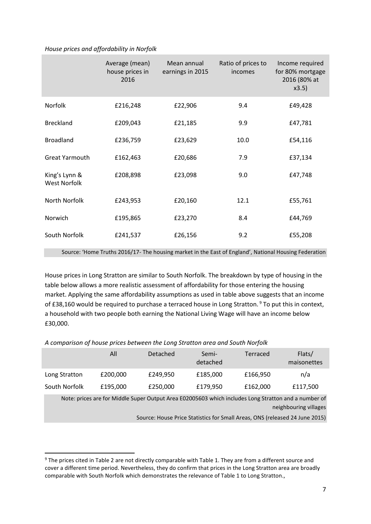#### *House prices and affordability in Norfolk*

|                                                                                                       | Average (mean)<br>house prices in<br>2016 | Mean annual<br>earnings in 2015 | Ratio of prices to<br>incomes | Income required<br>for 80% mortgage<br>2016 (80% at<br>x3.5) |  |  |  |
|-------------------------------------------------------------------------------------------------------|-------------------------------------------|---------------------------------|-------------------------------|--------------------------------------------------------------|--|--|--|
| Norfolk                                                                                               | £216,248                                  | £22,906                         | 9.4                           | £49,428                                                      |  |  |  |
| <b>Breckland</b>                                                                                      | £209,043                                  | £21,185                         | 9.9                           | £47,781                                                      |  |  |  |
| <b>Broadland</b>                                                                                      | £236,759                                  | £23,629                         | 10.0                          | £54,116                                                      |  |  |  |
| <b>Great Yarmouth</b>                                                                                 | £162,463                                  | £20,686                         | 7.9                           | £37,134                                                      |  |  |  |
| King's Lynn &<br><b>West Norfolk</b>                                                                  | £208,898                                  | £23,098                         | 9.0                           | £47,748                                                      |  |  |  |
| North Norfolk                                                                                         | £243,953                                  | £20,160                         | 12.1                          | £55,761                                                      |  |  |  |
| Norwich                                                                                               | £195,865                                  | £23,270                         | 8.4                           | £44,769                                                      |  |  |  |
| South Norfolk                                                                                         | £241,537                                  | £26,156                         | 9.2                           | £55,208                                                      |  |  |  |
| Source: 'Home Truths 2016/17- The housing market in the East of England', National Housing Federation |                                           |                                 |                               |                                                              |  |  |  |

House prices in Long Stratton are similar to South Norfolk. The breakdown by type of housing in the table below allows a more realistic assessment of affordability for those entering the housing market. Applying the same affordability assumptions as used in table above suggests that an income of £38,160 would be required to purchase a terraced house in Long Stratton.<sup>9</sup> To put this in context, a household with two people both earning the National Living Wage will have an income below £30,000.

*A comparison of house prices between the Long Stratton area and South Norfolk*

|                                                                                                                               | All      | Detached | Semi-<br>detached | Terraced | Flats/<br>maisonettes |  |
|-------------------------------------------------------------------------------------------------------------------------------|----------|----------|-------------------|----------|-----------------------|--|
| Long Stratton                                                                                                                 | £200,000 | £249,950 | £185,000          | £166,950 | n/a                   |  |
| South Norfolk                                                                                                                 | £195,000 | £250,000 | £179,950          | £162,000 | £117,500              |  |
| Note: prices are for Middle Super Output Area E02005603 which includes Long Stratton and a number of<br>neighbouring villages |          |          |                   |          |                       |  |
| Source: House Price Statistics for Small Areas, ONS (released 24 June 2015)                                                   |          |          |                   |          |                       |  |

<sup>&</sup>lt;sup>9</sup> The prices cited in Table 2 are not directly comparable with Table 1. They are from a different source and cover a different time period. Nevertheless, they do confirm that prices in the Long Stratton area are broadly comparable with South Norfolk which demonstrates the relevance of Table 1 to Long Stratton.,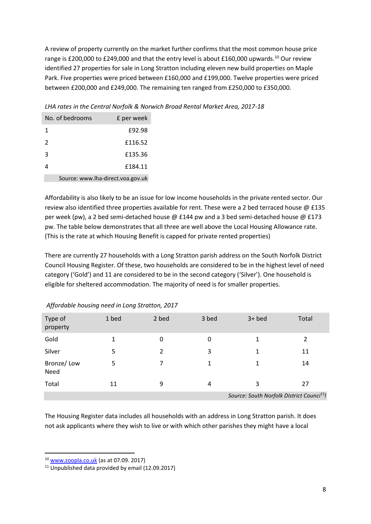A review of property currently on the market further confirms that the most common house price range is £200,000 to £249,000 and that the entry level is about £160,000 upwards.<sup>10</sup> Our review identified 27 properties for sale in Long Stratton including eleven new build properties on Maple Park. Five properties were priced between £160,000 and £199,000. Twelve properties were priced between £200,000 and £249,000. The remaining ten ranged from £250,000 to £350,000.

No. of bedrooms E per week 1 £92.98 2 £116.52 3 £135.36 4 £184.11

*LHA rates in the Central Norfolk & Norwich Broad Rental Market Area, 2017-18*

Source: www.lha-direct.voa.gov.uk

Affordability is also likely to be an issue for low income households in the private rented sector. Our review also identified three properties available for rent. These were a 2 bed terraced house  $\emptyset$  £135 per week (pw), a 2 bed semi-detached house @ £144 pw and a 3 bed semi-detached house @ £173 pw. The table below demonstrates that all three are well above the Local Housing Allowance rate. (This is the rate at which Housing Benefit is capped for private rented properties)

There are currently 27 households with a Long Stratton parish address on the South Norfolk District Council Housing Register. Of these, two households are considered to be in the highest level of need category ('Gold') and 11 are considered to be in the second category ('Silver'). One household is eligible for sheltered accommodation. The majority of need is for smaller properties.

| Type of<br>property | 1 bed | 2 bed | 3 bed | $3+$ bed                                            | Total |  |  |
|---------------------|-------|-------|-------|-----------------------------------------------------|-------|--|--|
| Gold                | 1     | 0     | 0     | 1                                                   | 2     |  |  |
| Silver              | 5     | 2     | 3     | 1                                                   | 11    |  |  |
| Bronze/Low<br>Need  | 5     |       |       | 1                                                   | 14    |  |  |
| Total               | 11    | 9     | 4     | 3                                                   | 27    |  |  |
|                     |       |       |       | Source: South Norfolk District Counci <sup>11</sup> |       |  |  |

*Affordable housing need in Long Stratton, 2017*

The Housing Register data includes all households with an address in Long Stratton parish. It does not ask applicants where they wish to live or with which other parishes they might have a local

<sup>10</sup> [www.zoopla.co.uk](http://www.zoopla.co.uk/) (as at 07.09. 2017)

 $11$  Unpublished data provided by email (12.09.2017)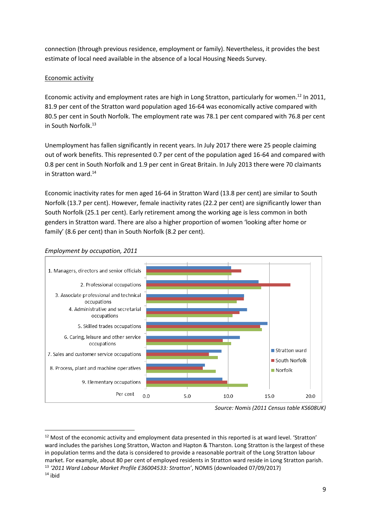connection (through previous residence, employment or family). Nevertheless, it provides the best estimate of local need available in the absence of a local Housing Needs Survey.

# Economic activity

Economic activity and employment rates are high in Long Stratton, particularly for women.<sup>12</sup> In 2011, 81.9 per cent of the Stratton ward population aged 16-64 was economically active compared with 80.5 per cent in South Norfolk. The employment rate was 78.1 per cent compared with 76.8 per cent in South Norfolk.<sup>13</sup>

Unemployment has fallen significantly in recent years. In July 2017 there were 25 people claiming out of work benefits. This represented 0.7 per cent of the population aged 16-64 and compared with 0.8 per cent in South Norfolk and 1.9 per cent in Great Britain. In July 2013 there were 70 claimants in Stratton ward.<sup>14</sup>

Economic inactivity rates for men aged 16-64 in Stratton Ward (13.8 per cent) are similar to South Norfolk (13.7 per cent). However, female inactivity rates (22.2 per cent) are significantly lower than South Norfolk (25.1 per cent). Early retirement among the working age is less common in both genders in Stratton ward. There are also a higher proportion of women 'looking after home or family' (8.6 per cent) than in South Norfolk (8.2 per cent).



## *Employment by occupation, 2011*

*Source: Nomis (2011 Census table KS608UK)*

<sup>&</sup>lt;sup>12</sup> Most of the economic activity and employment data presented in this reported is at ward level. 'Stratton' ward includes the parishes Long Stratton, Wacton and Hapton & Tharston. Long Stratton is the largest of these in population terms and the data is considered to provide a reasonable portrait of the Long Stratton labour market. For example, about 80 per cent of employed residents in Stratton ward reside in Long Stratton parish. <sup>13</sup> *'2011 Ward Labour Market Profile E36004533: Stratton'*, NOMIS (downloaded 07/09/2017)  $14$  ibid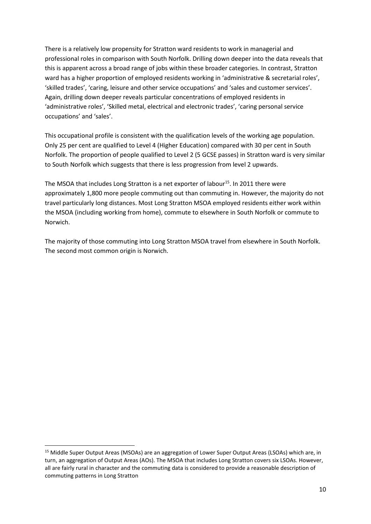There is a relatively low propensity for Stratton ward residents to work in managerial and professional roles in comparison with South Norfolk. Drilling down deeper into the data reveals that this is apparent across a broad range of jobs within these broader categories. In contrast, Stratton ward has a higher proportion of employed residents working in 'administrative & secretarial roles', 'skilled trades', 'caring, leisure and other service occupations' and 'sales and customer services'. Again, drilling down deeper reveals particular concentrations of employed residents in 'administrative roles', 'Skilled metal, electrical and electronic trades', 'caring personal service occupations' and 'sales'.

This occupational profile is consistent with the qualification levels of the working age population. Only 25 per cent are qualified to Level 4 (Higher Education) compared with 30 per cent in South Norfolk. The proportion of people qualified to Level 2 (5 GCSE passes) in Stratton ward is very similar to South Norfolk which suggests that there is less progression from level 2 upwards.

The MSOA that includes Long Stratton is a net exporter of labour<sup>15</sup>. In 2011 there were approximately 1,800 more people commuting out than commuting in. However, the majority do not travel particularly long distances. Most Long Stratton MSOA employed residents either work within the MSOA (including working from home), commute to elsewhere in South Norfolk or commute to Norwich.

The majority of those commuting into Long Stratton MSOA travel from elsewhere in South Norfolk. The second most common origin is Norwich.

<sup>&</sup>lt;sup>15</sup> Middle Super Output Areas (MSOAs) are an aggregation of Lower Super Output Areas (LSOAs) which are, in turn, an aggregation of Output Areas (AOs). The MSOA that includes Long Stratton covers six LSOAs. However, all are fairly rural in character and the commuting data is considered to provide a reasonable description of commuting patterns in Long Stratton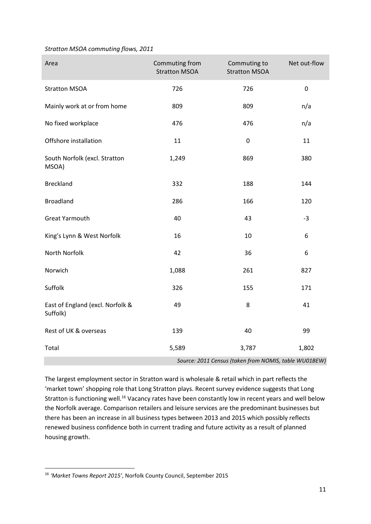#### *Stratton MSOA commuting flows, 2011*

| Area                                         | Commuting from<br><b>Stratton MSOA</b> | Commuting to<br><b>Stratton MSOA</b>                  | Net out-flow |
|----------------------------------------------|----------------------------------------|-------------------------------------------------------|--------------|
| <b>Stratton MSOA</b>                         | 726                                    | 726                                                   | $\pmb{0}$    |
| Mainly work at or from home                  | 809                                    | 809                                                   | n/a          |
| No fixed workplace                           | 476                                    | 476                                                   | n/a          |
| Offshore installation                        | 11                                     | $\pmb{0}$                                             | 11           |
| South Norfolk (excl. Stratton<br>MSOA)       | 1,249                                  | 869                                                   | 380          |
| <b>Breckland</b>                             | 332                                    | 188                                                   | 144          |
| <b>Broadland</b>                             | 286                                    | 166                                                   | 120          |
| <b>Great Yarmouth</b>                        | 40                                     | 43                                                    | $-3$         |
| King's Lynn & West Norfolk                   | 16                                     | 10                                                    | 6            |
| North Norfolk                                | 42                                     | 36                                                    | 6            |
| Norwich                                      | 1,088                                  | 261                                                   | 827          |
| Suffolk                                      | 326                                    | 155                                                   | 171          |
| East of England (excl. Norfolk &<br>Suffolk) | 49                                     | 8                                                     | 41           |
| Rest of UK & overseas                        | 139                                    | 40                                                    | 99           |
| Total                                        | 5,589                                  | 3,787                                                 | 1,802        |
|                                              |                                        | Source: 2011 Census (taken from NOMIS, table WU01BEW) |              |

The largest employment sector in Stratton ward is wholesale & retail which in part reflects the 'market town' shopping role that Long Stratton plays. Recent survey evidence suggests that Long Stratton is functioning well.<sup>16</sup> Vacancy rates have been constantly low in recent years and well below the Norfolk average. Comparison retailers and leisure services are the predominant businesses but there has been an increase in all business types between 2013 and 2015 which possibly reflects renewed business confidence both in current trading and future activity as a result of planned housing growth.

<sup>16</sup> *'Market Towns Report 2015'*, Norfolk County Council, September 2015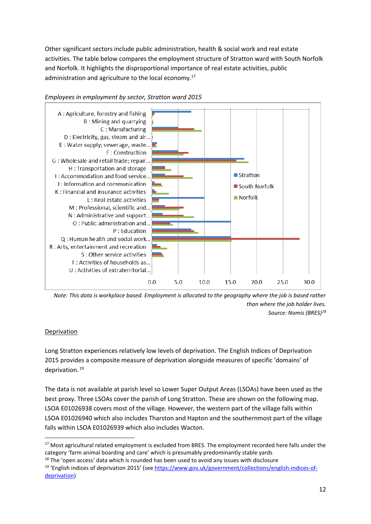Other significant sectors include public administration, health & social work and real estate activities. The table below compares the employment structure of Stratton ward with South Norfolk and Norfolk. It highlights the disproportional importance of real estate activities, public administration and agriculture to the local economy.<sup>17</sup>



# *Employees in employment by sector, Stratton ward 2015*

*Note: This data is workplace based. Employment is allocated to the geography where the job is based rather than where the job holder lives. Source: Nomis (BRES)<sup>18</sup>*

## Deprivation

Long Stratton experiences relatively low levels of deprivation. The English Indices of Deprivation 2015 provides a composite measure of deprivation alongside measures of specific 'domains' of deprivation.<sup>19</sup>

The data is not available at parish level so Lower Super Output Areas (LSOAs) have been used as the best proxy. Three LSOAs cover the parish of Long Stratton. These are shown on the following map. LSOA E01026938 covers most of the village. However, the western part of the village falls within LSOA E01026940 which also includes Tharston and Hapton and the southernmost part of the village falls within LSOA E01026939 which also includes Wacton.

<sup>&</sup>lt;sup>17</sup> Most agricultural related employment is excluded from BRES. The employment recorded here falls under the category 'farm animal boarding and care' which is presumably predominantly stable yards

 $18$  The 'open access' data which is rounded has been used to avoid any issues with disclosure

<sup>&</sup>lt;sup>19</sup> 'English indices of deprivation 2015' (see [https://www.gov.uk/government/collections/english-indices-of](https://www.gov.uk/government/collections/english-indices-of-deprivation)[deprivation\)](https://www.gov.uk/government/collections/english-indices-of-deprivation)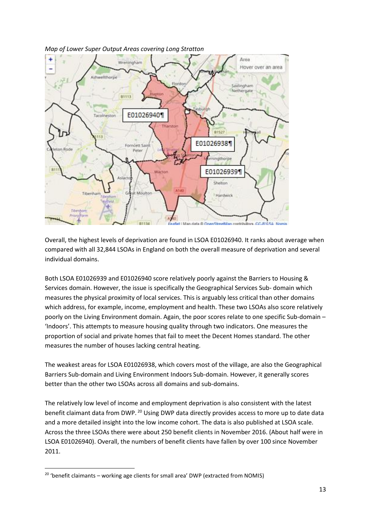

*Map of Lower Super Output Areas covering Long Stratton*

Overall, the highest levels of deprivation are found in LSOA E01026940. It ranks about average when compared with all 32,844 LSOAs in England on both the overall measure of deprivation and several individual domains.

Both LSOA E01026939 and E01026940 score relatively poorly against the Barriers to Housing & Services domain. However, the issue is specifically the Geographical Services Sub- domain which measures the physical proximity of local services. This is arguably less critical than other domains which address, for example, income, employment and health. These two LSOAs also score relatively poorly on the Living Environment domain. Again, the poor scores relate to one specific Sub-domain – 'Indoors'. This attempts to measure housing quality through two indicators. One measures the proportion of social and private homes that fail to meet the Decent Homes standard. The other measures the number of houses lacking central heating.

The weakest areas for LSOA E01026938, which covers most of the village, are also the Geographical Barriers Sub-domain and Living Environment Indoors Sub-domain. However, it generally scores better than the other two LSOAs across all domains and sub-domains.

The relatively low level of income and employment deprivation is also consistent with the latest benefit claimant data from DWP. <sup>20</sup> Using DWP data directly provides access to more up to date data and a more detailed insight into the low income cohort. The data is also published at LSOA scale. Across the three LSOAs there were about 250 benefit clients in November 2016. (About half were in LSOA E01026940). Overall, the numbers of benefit clients have fallen by over 100 since November 2011.

<sup>&</sup>lt;sup>20</sup> 'benefit claimants – working age clients for small area' DWP (extracted from NOMIS)